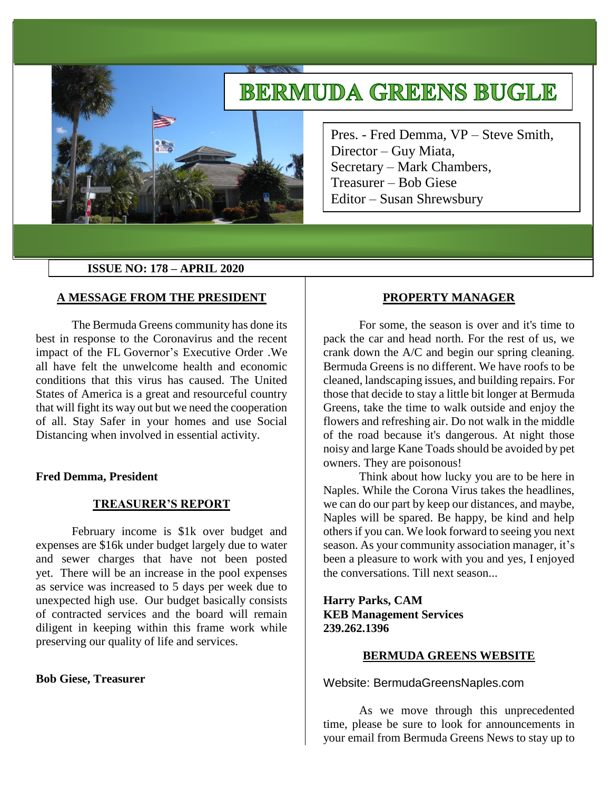# **BERMUDA GREENS BUGLE**

Pres. - Fred Demma, VP – Steve Smith, Director – Guy Miata, Secretary – Mark Chambers, Treasurer – Bob Giese Editor – Susan Shrewsbury

#### **ISSUE NO: 178 – APRIL 2020**

#### **A MESSAGE FROM THE PRESIDENT**

The Bermuda Greens community has done its best in response to the Coronavirus and the recent impact of the FL Governor's Executive Order .We all have felt the unwelcome health and economic conditions that this virus has caused. The United States of America is a great and resourceful country that will fight its way out but we need the cooperation of all. Stay Safer in your homes and use Social Distancing when involved in essential activity.

#### **Fred Demma, President**

#### **TREASURER'S REPORT**

February income is \$1k over budget and expenses are \$16k under budget largely due to water and sewer charges that have not been posted yet. There will be an increase in the pool expenses as service was increased to 5 days per week due to unexpected high use. Our budget basically consists of contracted services and the board will remain diligent in keeping within this frame work while preserving our quality of life and services.

#### **Bob Giese, Treasurer**

#### **PROPERTY MANAGER**

For some, the season is over and it's time to pack the car and head north. For the rest of us, we crank down the A/C and begin our spring cleaning. Bermuda Greens is no different. We have roofs to be cleaned, landscaping issues, and building repairs. For those that decide to stay a little bit longer at Bermuda Greens, take the time to walk outside and enjoy the flowers and refreshing air. Do not walk in the middle of the road because it's dangerous. At night those noisy and large Kane Toads should be avoided by pet owners. They are poisonous!

Think about how lucky you are to be here in Naples. While the Corona Virus takes the headlines, we can do our part by keep our distances, and maybe, Naples will be spared. Be happy, be kind and help others if you can. We look forward to seeing you next season. As your community association manager, it's been a pleasure to work with you and yes, I enjoyed the conversations. Till next season...

**Harry Parks, CAM KEB Management Services 239.262.1396**

#### **BERMUDA GREENS WEBSITE**

#### Website: BermudaGreensNaples.com

As we move through this unprecedented time, please be sure to look for announcements in your email from Bermuda Greens News to stay up to